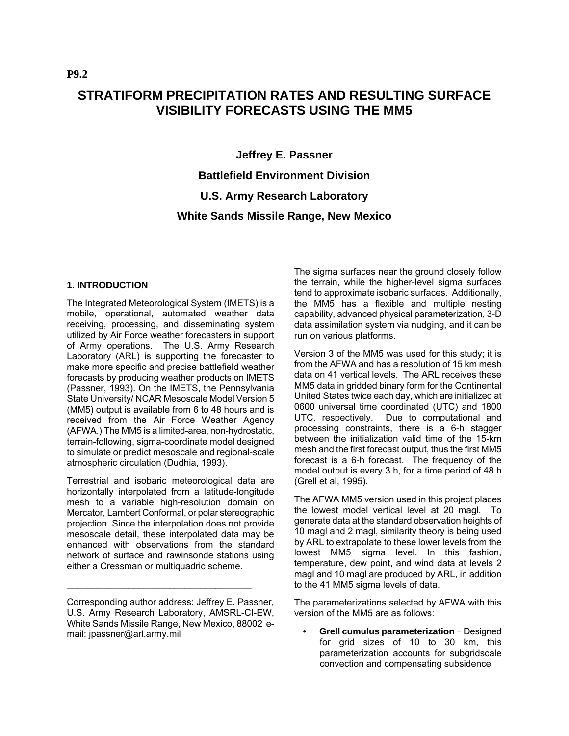# **STRATIFORM PRECIPITATION RATES AND RESULTING SURFACE VISIBILITY FORECASTS USING THE MM5**

**Jeffrey E. Passner Battlefield Environment Division U.S. Army Research Laboratory White Sands Missile Range, New Mexico** 

#### **1. INTRODUCTION**

The Integrated Meteorological System (IMETS) is a mobile, operational, automated weather data receiving, processing, and disseminating system utilized by Air Force weather forecasters in support of Army operations. The U.S. Army Research Laboratory (ARL) is supporting the forecaster to make more specific and precise battlefield weather forecasts by producing weather products on IMETS (Passner, 1993). On the IMETS, the Pennsylvania State University/ NCAR Mesoscale Model Version 5 (MM5) output is available from 6 to 48 hours and is received from the Air Force Weather Agency (AFWA.) The MM5 is a limited-area, non-hydrostatic, terrain-following, sigma-coordinate model designed to simulate or predict mesoscale and regional-scale atmospheric circulation (Dudhia, 1993).

Terrestrial and isobaric meteorological data are horizontally interpolated from a latitude-longitude mesh to a variable high-resolution domain on Mercator, Lambert Conformal, or polar stereographic projection. Since the interpolation does not provide mesoscale detail, these interpolated data may be enhanced with observations from the standard network of surface and rawinsonde stations using either a Cressman or multiquadric scheme.

\_\_\_\_\_\_\_\_\_\_\_\_\_\_\_\_\_\_\_\_\_\_\_\_\_\_\_\_\_\_\_\_\_\_\_\_

The sigma surfaces near the ground closely follow the terrain, while the higher-level sigma surfaces tend to approximate isobaric surfaces. Additionally, the MM5 has a flexible and multiple nesting capability, advanced physical parameterization, 3-D data assimilation system via nudging, and it can be run on various platforms.

Version 3 of the MM5 was used for this study; it is from the AFWA and has a resolution of 15 km mesh data on 41 vertical levels. The ARL receives these MM5 data in gridded binary form for the Continental United States twice each day, which are initialized at 0600 universal time coordinated (UTC) and 1800 UTC, respectively. Due to computational and processing constraints, there is a 6-h stagger between the initialization valid time of the 15-km mesh and the first forecast output, thus the first MM5 forecast is a 6-h forecast. The frequency of the model output is every 3 h, for a time period of 48 h (Grell et al, 1995).

The AFWA MM5 version used in this project places the lowest model vertical level at 20 magl. To generate data at the standard observation heights of 10 magl and 2 magl, similarity theory is being used by ARL to extrapolate to these lower levels from the lowest MM5 sigma level. In this fashion, temperature, dew point, and wind data at levels 2 magl and 10 magl are produced by ARL, in addition to the 41 MM5 sigma levels of data.

The parameterizations selected by AFWA with this version of the MM5 are as follows:

**• Grell cumulus parameterization** − Designed for grid sizes of 10 to 30 km, this parameterization accounts for subgridscale convection and compensating subsidence

Corresponding author address: Jeffrey E. Passner, U.S. Army Research Laboratory, AMSRL-CI-EW, White Sands Missile Range, New Mexico, 88002 email: jpassner@arl.army.mil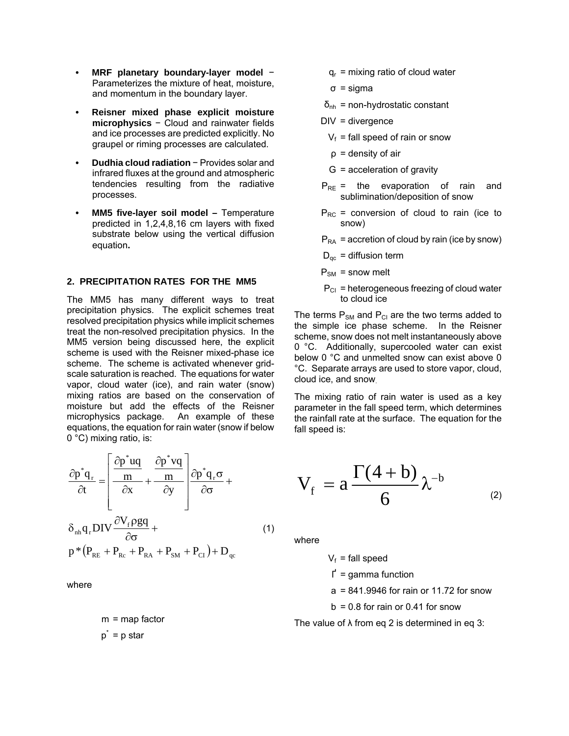- **MRF planetary boundary-layer model** − Parameterizes the mixture of heat, moisture, and momentum in the boundary layer.
- **Reisner mixed phase explicit moisture microphysics** − Cloud and rainwater fields and ice processes are predicted explicitly. No graupel or riming processes are calculated.
- **Dudhia cloud radiation** − Provides solar and infrared fluxes at the ground and atmospheric tendencies resulting from the radiative processes.
- **MM5 five-layer soil model Temperature** predicted in 1,2,4,8,16 cm layers with fixed substrate below using the vertical diffusion equation**.**

#### **2. PRECIPITATION RATES FOR THE MM5**

The MM5 has many different ways to treat precipitation physics. The explicit schemes treat resolved precipitation physics while implicit schemes treat the non-resolved precipitation physics. In the MM5 version being discussed here, the explicit scheme is used with the Reisner mixed-phase ice scheme. The scheme is activated whenever gridscale saturation is reached. The equations for water vapor, cloud water (ice), and rain water (snow) mixing ratios are based on the conservation of moisture but add the effects of the Reisner microphysics package. An example of these equations, the equation for rain water (snow if below 0 °C) mixing ratio, is:

$$
\frac{\partial p^* q_r}{\partial t} = \left[ \frac{\frac{\partial p^* uq}{m}}{\frac{mx}{m}} + \frac{\frac{\partial p^* vq}{m}}{\frac{my}{m}} \right] \frac{\partial p^* q_r \sigma}{\partial \sigma} + \delta_{nh} q_r DIV \frac{\partial V_f \rho gq}{\partial \sigma} + \rho^* (P_{RE} + P_{Re} + P_{RA} + P_{SM} + P_{CI}) + D_{qc}
$$
\n(1)

where

 $m = map factor$  $p^* = p$  star

 $q_r$  = mixing ratio of cloud water

σ = sigma

 $\delta_{\rm nh}$  = non-hydrostatic constant

DIV = divergence

- $V_f$  = fall speed of rain or snow
- $p =$  density of air
- G = acceleration of gravity
- $P_{RF}$  = the evaporation of rain and sublimination/deposition of snow
- $P_{RC}$  = conversion of cloud to rain (ice to snow)

 $P_{RA}$  = accretion of cloud by rain (ice by snow)

 $D_{qc}$  = diffusion term

- $P_{SM}$  = snow melt
	- $P_{CI}$  = heterogeneous freezing of cloud water to cloud ice

The terms  $P_{SM}$  and  $P_{CI}$  are the two terms added to the simple ice phase scheme. In the Reisner scheme, snow does not melt instantaneously above 0 °C. Additionally, supercooled water can exist below 0 °C and unmelted snow can exist above 0 °C. Separate arrays are used to store vapor, cloud, cloud ice, and snow.

The mixing ratio of rain water is used as a key parameter in the fall speed term, which determines the rainfall rate at the surface. The equation for the fall speed is:

$$
V_f = a \frac{\Gamma(4+b)}{6} \lambda^{-b}
$$
 (2)

where

 $V_f$  = fall speed

- $\Gamma$  = gamma function
- a = 841.9946 for rain or 11.72 for snow

 $b = 0.8$  for rain or 0.41 for snow

The value of  $\lambda$  from eq 2 is determined in eq 3: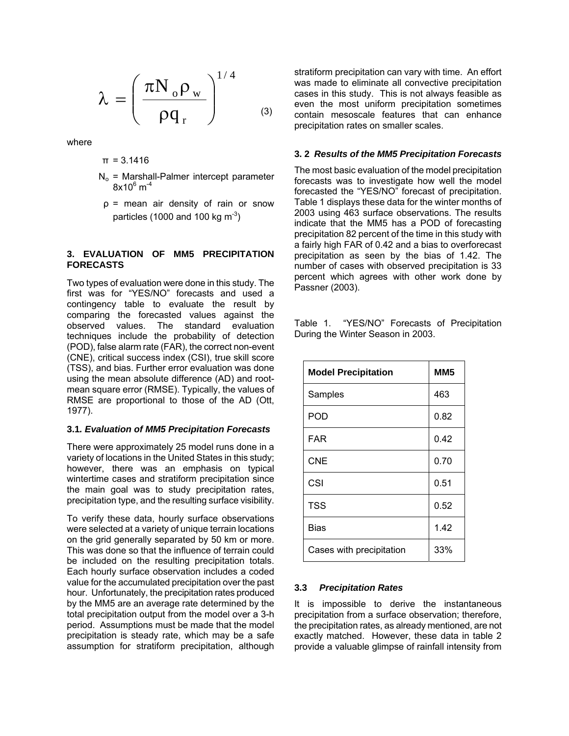$$
\lambda = \left(\frac{\pi N_{_0}\rho_{_W}}{\rho q_{_r}}\right)^{1/4}\quad \ \ \, {\scriptscriptstyle (3)}
$$

where

$$
\pi = 3.1416
$$

- $N_0$  = Marshall-Palmer intercept parameter  $8$ x10 $^6$  m $^{-4}$
- ρ = mean air density of rain or snow particles (1000 and 100 kg  $\text{m}^3$ )

#### **3. EVALUATION OF MM5 PRECIPITATION FORECASTS**

Two types of evaluation were done in this study. The first was for "YES/NO" forecasts and used a contingency table to evaluate the result by comparing the forecasted values against the observed values. The standard evaluation techniques include the probability of detection (POD), false alarm rate (FAR), the correct non-event (CNE), critical success index (CSI), true skill score (TSS), and bias. Further error evaluation was done using the mean absolute difference (AD) and rootmean square error (RMSE). Typically, the values of RMSE are proportional to those of the AD (Ott, 1977).

#### **3.1***. Evaluation of MM5 Precipitation Forecasts*

There were approximately 25 model runs done in a variety of locations in the United States in this study; however, there was an emphasis on typical wintertime cases and stratiform precipitation since the main goal was to study precipitation rates, precipitation type, and the resulting surface visibility.

To verify these data, hourly surface observations were selected at a variety of unique terrain locations on the grid generally separated by 50 km or more. This was done so that the influence of terrain could be included on the resulting precipitation totals. Each hourly surface observation includes a coded value for the accumulated precipitation over the past hour. Unfortunately, the precipitation rates produced by the MM5 are an average rate determined by the total precipitation output from the model over a 3-h period. Assumptions must be made that the model precipitation is steady rate, which may be a safe assumption for stratiform precipitation, although stratiform precipitation can vary with time. An effort was made to eliminate all convective precipitation cases in this study. This is not always feasible as even the most uniform precipitation sometimes contain mesoscale features that can enhance precipitation rates on smaller scales.

#### **3. 2** *Results of the MM5 Precipitation Forecasts*

The most basic evaluation of the model precipitation forecasts was to investigate how well the model forecasted the "YES/NO" forecast of precipitation. Table 1 displays these data for the winter months of 2003 using 463 surface observations. The results indicate that the MM5 has a POD of forecasting precipitation 82 percent of the time in this study with a fairly high FAR of 0.42 and a bias to overforecast precipitation as seen by the bias of 1.42. The number of cases with observed precipitation is 33 percent which agrees with other work done by Passner (2003).

Table 1. "YES/NO" Forecasts of Precipitation During the Winter Season in 2003.

| <b>Model Precipitation</b> | MM <sub>5</sub> |
|----------------------------|-----------------|
| Samples                    | 463             |
| POD                        | 0.82            |
| <b>FAR</b>                 | 0.42            |
| <b>CNE</b>                 | 0.70            |
| CSI                        | 0.51            |
| <b>TSS</b>                 | 0.52            |
| Bias                       | 1.42            |
| Cases with precipitation   | 33%             |

#### **3.3** *Precipitation Rates*

It is impossible to derive the instantaneous precipitation from a surface observation; therefore, the precipitation rates, as already mentioned, are not exactly matched. However, these data in table 2 provide a valuable glimpse of rainfall intensity from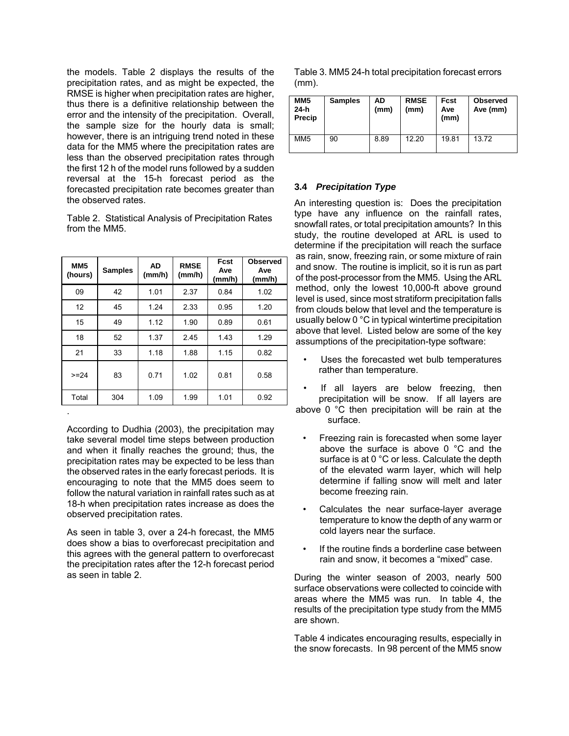the models. Table 2 displays the results of the precipitation rates, and as might be expected, the RMSE is higher when precipitation rates are higher, thus there is a definitive relationship between the error and the intensity of the precipitation. Overall, the sample size for the hourly data is small; however, there is an intriguing trend noted in these data for the MM5 where the precipitation rates are less than the observed precipitation rates through the first 12 h of the model runs followed by a sudden reversal at the 15-h forecast period as the forecasted precipitation rate becomes greater than the observed rates.

Table 2. Statistical Analysis of Precipitation Rates from the MM5.

| MM <sub>5</sub><br>(hours) | <b>Samples</b> | AD<br>(mm/h) | <b>RMSE</b><br>(mm/h) | Fcst<br>Ave<br>(mm/h) | <b>Observed</b><br>Ave<br>(mm/h) |
|----------------------------|----------------|--------------|-----------------------|-----------------------|----------------------------------|
| 09                         | 42             | 1.01         | 2.37                  | 0.84                  | 1.02                             |
| 12                         | 45             | 1.24         | 2.33                  | 0.95                  | 1.20                             |
| 15                         | 49             | 1.12         | 1.90                  | 0.89                  | 0.61                             |
| 18                         | 52             | 1.37         | 2.45                  | 1.43                  | 1.29                             |
| 21                         | 33             | 1.18         | 1.88                  | 1.15                  | 0.82                             |
| $>= 24$                    | 83             | 0.71         | 1.02                  | 0.81                  | 0.58                             |
| Total                      | 304            | 1.09         | 1.99                  | 1.01                  | 0.92                             |
|                            |                |              |                       |                       |                                  |

According to Dudhia (2003), the precipitation may take several model time steps between production and when it finally reaches the ground; thus, the precipitation rates may be expected to be less than the observed rates in the early forecast periods. It is encouraging to note that the MM5 does seem to follow the natural variation in rainfall rates such as at 18-h when precipitation rates increase as does the observed precipitation rates.

As seen in table 3, over a 24-h forecast, the MM5 does show a bias to overforecast precipitation and this agrees with the general pattern to overforecast the precipitation rates after the 12-h forecast period as seen in table 2.

Table 3. MM5 24-h total precipitation forecast errors (mm).

| MM <sub>5</sub><br>$24-h$<br>Precip | <b>Samples</b> | AD<br>(mm) | <b>RMSE</b><br>(mm) | Fcst<br>Ave<br>(mm) | <b>Observed</b><br>Ave (mm) |
|-------------------------------------|----------------|------------|---------------------|---------------------|-----------------------------|
| MM <sub>5</sub>                     | 90             | 8.89       | 12.20               | 19.81               | 13.72                       |

### **3.4** *Precipitation Type*

An interesting question is: Does the precipitation type have any influence on the rainfall rates, snowfall rates, or total precipitation amounts? In this study, the routine developed at ARL is used to determine if the precipitation will reach the surface as rain, snow, freezing rain, or some mixture of rain and snow. The routine is implicit, so it is run as part of the post-processor from the MM5. Using the ARL method, only the lowest 10,000-ft above ground level is used, since most stratiform precipitation falls from clouds below that level and the temperature is usually below 0 °C in typical wintertime precipitation above that level. Listed below are some of the key assumptions of the precipitation-type software:

- Uses the forecasted wet bulb temperatures rather than temperature.
- If all layers are below freezing, then precipitation will be snow. If all layers are

above 0 °C then precipitation will be rain at the surface.

- Freezing rain is forecasted when some layer above the surface is above 0 °C and the surface is at 0 °C or less. Calculate the depth of the elevated warm layer, which will help determine if falling snow will melt and later become freezing rain.
- Calculates the near surface-layer average temperature to know the depth of any warm or cold layers near the surface.
- If the routine finds a borderline case between rain and snow, it becomes a "mixed" case.

During the winter season of 2003, nearly 500 surface observations were collected to coincide with areas where the MM5 was run. In table 4, the results of the precipitation type study from the MM5 are shown.

Table 4 indicates encouraging results, especially in the snow forecasts. In 98 percent of the MM5 snow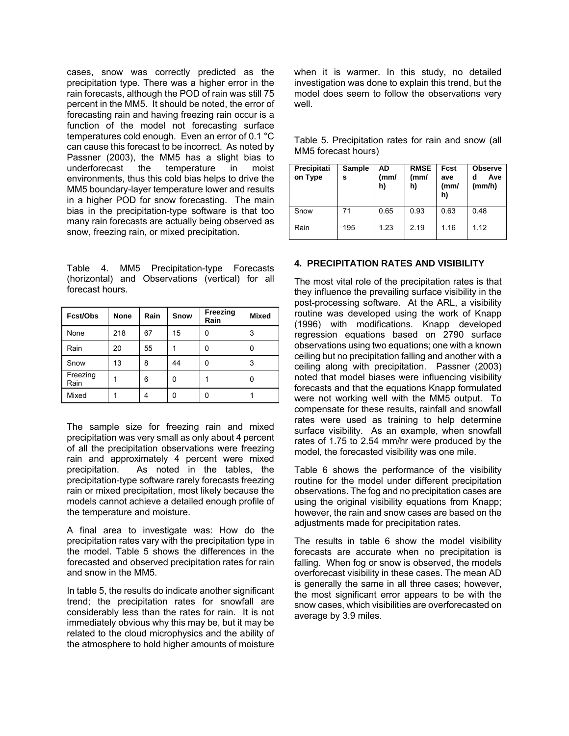cases, snow was correctly predicted as the precipitation type. There was a higher error in the rain forecasts, although the POD of rain was still 75 percent in the MM5. It should be noted, the error of forecasting rain and having freezing rain occur is a function of the model not forecasting surface temperatures cold enough. Even an error of 0.1 °C can cause this forecast to be incorrect. As noted by Passner (2003), the MM5 has a slight bias to underforecast the temperature in moist underforecast the temperature in environments, thus this cold bias helps to drive the MM5 boundary-layer temperature lower and results in a higher POD for snow forecasting. The main bias in the precipitation-type software is that too many rain forecasts are actually being observed as snow, freezing rain, or mixed precipitation.

Table 4. MM5 Precipitation-type Forecasts (horizontal) and Observations (vertical) for all forecast hours.

| Fcst/Obs         | <b>None</b> | Rain | Snow | Freezing<br>Rain | <b>Mixed</b> |
|------------------|-------------|------|------|------------------|--------------|
| None             | 218         | 67   | 15   | 0                | 3            |
| Rain             | 20          | 55   |      | 0                | 0            |
| Snow             | 13          | 8    | 44   | 0                | 3            |
| Freezing<br>Rain |             | 6    | 0    |                  | 0            |
| Mixed            |             | 4    | 0    | 0                |              |

The sample size for freezing rain and mixed precipitation was very small as only about 4 percent of all the precipitation observations were freezing rain and approximately 4 percent were mixed precipitation. As noted in the tables, the precipitation-type software rarely forecasts freezing rain or mixed precipitation, most likely because the models cannot achieve a detailed enough profile of the temperature and moisture.

A final area to investigate was: How do the precipitation rates vary with the precipitation type in the model. Table 5 shows the differences in the forecasted and observed precipitation rates for rain and snow in the MM5.

In table 5, the results do indicate another significant trend; the precipitation rates for snowfall are considerably less than the rates for rain. It is not immediately obvious why this may be, but it may be related to the cloud microphysics and the ability of the atmosphere to hold higher amounts of moisture when it is warmer. In this study, no detailed investigation was done to explain this trend, but the model does seem to follow the observations very well.

Table 5. Precipitation rates for rain and snow (all MM5 forecast hours)

| Precipitati<br>on Type | Sample<br>s | AD<br>(mm)<br>h) | <b>RMSE</b><br>(mm/<br>h) | Fcst<br>ave<br>(mm/<br>h) | <b>Observe</b><br>Ave<br>d<br>(mm/h) |
|------------------------|-------------|------------------|---------------------------|---------------------------|--------------------------------------|
| Snow                   | 71          | 0.65             | 0.93                      | 0.63                      | 0.48                                 |
| Rain                   | 195         | 1.23             | 2.19                      | 1.16                      | 1.12                                 |

#### **4. PRECIPITATION RATES AND VISIBILITY**

The most vital role of the precipitation rates is that they influence the prevailing surface visibility in the post-processing software. At the ARL, a visibility routine was developed using the work of Knapp (1996) with modifications. Knapp developed regression equations based on 2790 surface observations using two equations; one with a known ceiling but no precipitation falling and another with a ceiling along with precipitation. Passner (2003) noted that model biases were influencing visibility forecasts and that the equations Knapp formulated were not working well with the MM5 output. To compensate for these results, rainfall and snowfall rates were used as training to help determine surface visibility. As an example, when snowfall rates of 1.75 to 2.54 mm/hr were produced by the model, the forecasted visibility was one mile.

Table 6 shows the performance of the visibility routine for the model under different precipitation observations. The fog and no precipitation cases are using the original visibility equations from Knapp; however, the rain and snow cases are based on the adjustments made for precipitation rates.

The results in table 6 show the model visibility forecasts are accurate when no precipitation is falling. When fog or snow is observed, the models overforecast visibility in these cases. The mean AD is generally the same in all three cases; however, the most significant error appears to be with the snow cases, which visibilities are overforecasted on average by 3.9 miles.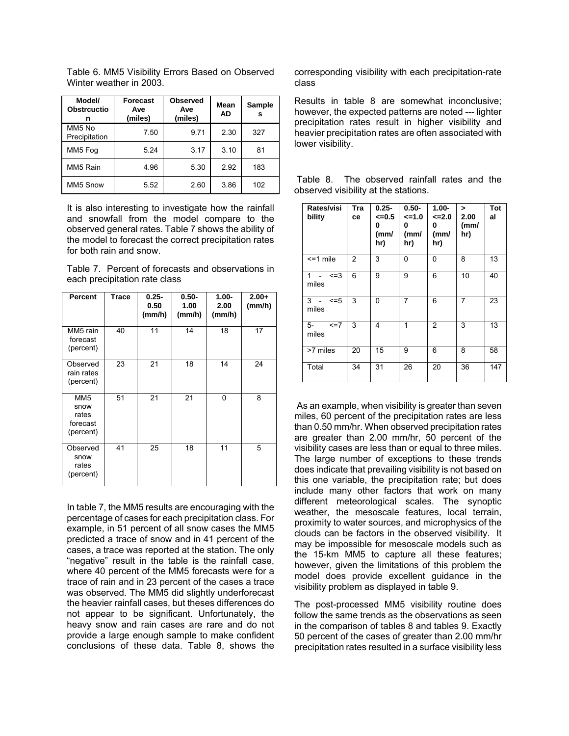Table 6. MM5 Visibility Errors Based on Observed Winter weather in 2003.

| Model/<br><b>Obstrcuctio</b><br>n | Forecast<br>Ave<br>(miles) | <b>Observed</b><br>Ave<br>(miles) |      | <b>Sample</b><br>s |
|-----------------------------------|----------------------------|-----------------------------------|------|--------------------|
| MM5 No<br>Precipitation           | 7.50                       | 9.71                              | 2.30 | 327                |
| MM5 Fog                           | 5.24                       | 3.17                              | 3.10 | 81                 |
| MM5 Rain                          | 4.96                       | 5.30                              | 2.92 | 183                |
| MM5 Snow                          | 5.52                       | 2.60                              | 3.86 | 102                |

It is also interesting to investigate how the rainfall and snowfall from the model compare to the observed general rates. Table 7 shows the ability of the model to forecast the correct precipitation rates for both rain and snow.

Table 7. Percent of forecasts and observations in each precipitation rate class

| Percent                                                   | Trace | $0.25 -$<br>0.50<br>(mm/h) | $0.50 -$<br>1.00<br>(mm/h) | $1.00 -$<br>2.00<br>(mm/h) | $2.00+$<br>(mm/h) |
|-----------------------------------------------------------|-------|----------------------------|----------------------------|----------------------------|-------------------|
| MM5 rain<br>forecast<br>(percent)                         | 40    | 11                         | 14                         | 18                         | 17                |
| Observed<br>rain rates<br>(percent)                       | 23    | 21                         | 18                         | 14                         | 24                |
| MM <sub>5</sub><br>snow<br>rates<br>forecast<br>(percent) | 51    | 21                         | 21                         | 0                          | 8                 |
| Observed<br>snow<br>rates<br>(percent)                    | 41    | 25                         | 18                         | 11                         | 5                 |

In table 7, the MM5 results are encouraging with the percentage of cases for each precipitation class. For example, in 51 percent of all snow cases the MM5 predicted a trace of snow and in 41 percent of the cases, a trace was reported at the station. The only "negative" result in the table is the rainfall case, where 40 percent of the MM5 forecasts were for a trace of rain and in 23 percent of the cases a trace was observed. The MM5 did slightly underforecast the heavier rainfall cases, but theses differences do not appear to be significant. Unfortunately, the heavy snow and rain cases are rare and do not provide a large enough sample to make confident conclusions of these data. Table 8, shows the corresponding visibility with each precipitation-rate class

Results in table 8 are somewhat inconclusive; however, the expected patterns are noted --- lighter precipitation rates result in higher visibility and heavier precipitation rates are often associated with lower visibility.

| Rates/visi<br>bility          | Tra<br>ce | $0.25 -$<br>$= 0.5$<br>0<br>(mm/<br>hr) | $0.50 -$<br>$=1.0$<br>0<br>(mm/<br>hr) | $1.00 -$<br><=2.0<br>0<br>(mm/<br>hr) | $\geq$<br>2.00<br>(mm)<br>hr) | <b>Tot</b><br>al |
|-------------------------------|-----------|-----------------------------------------|----------------------------------------|---------------------------------------|-------------------------------|------------------|
| $<$ =1 mile                   | 2         | 3                                       | 0                                      | 0                                     | 8                             | 13               |
| $\mathbf{1}$<br>$=3$<br>miles | 6         | 9                                       | 9                                      | 6                                     | 10                            | 40               |
| $3 -$<br>$\leq$ =5<br>miles   | 3         | 0                                       | 7                                      | 6                                     | 7                             | 23               |
| 5-<br>$\leq$ =7<br>miles      | 3         | 4                                       | 1                                      | 2                                     | 3                             | 13               |
| >7 miles                      | 20        | 15                                      | 9                                      | 6                                     | 8                             | 58               |
| Total                         | 34        | 31                                      | 26                                     | 20                                    | 36                            | 147              |

 Table 8. The observed rainfall rates and the observed visibility at the stations.

 As an example, when visibility is greater than seven miles, 60 percent of the precipitation rates are less than 0.50 mm/hr. When observed precipitation rates are greater than 2.00 mm/hr, 50 percent of the visibility cases are less than or equal to three miles. The large number of exceptions to these trends does indicate that prevailing visibility is not based on this one variable, the precipitation rate; but does include many other factors that work on many different meteorological scales. The synoptic weather, the mesoscale features, local terrain, proximity to water sources, and microphysics of the clouds can be factors in the observed visibility. It may be impossible for mesoscale models such as the 15-km MM5 to capture all these features; however, given the limitations of this problem the model does provide excellent guidance in the visibility problem as displayed in table 9.

The post-processed MM5 visibility routine does follow the same trends as the observations as seen in the comparison of tables 8 and tables 9. Exactly 50 percent of the cases of greater than 2.00 mm/hr precipitation rates resulted in a surface visibility less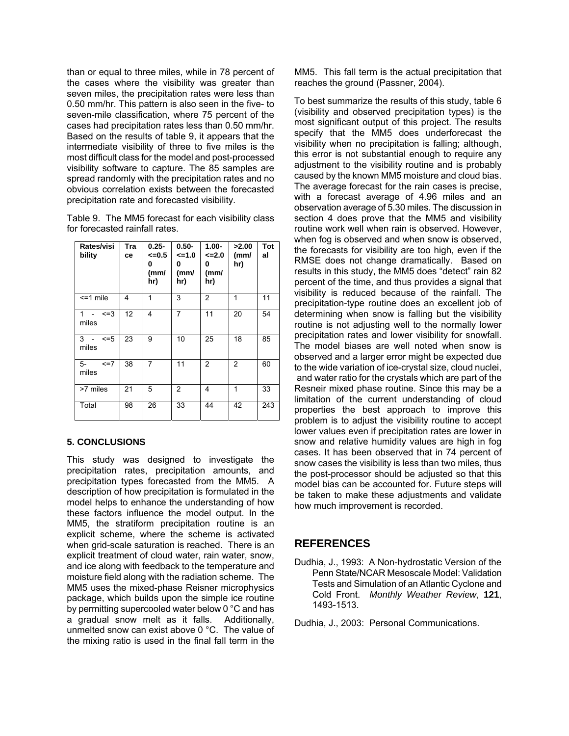than or equal to three miles, while in 78 percent of the cases where the visibility was greater than seven miles, the precipitation rates were less than 0.50 mm/hr. This pattern is also seen in the five- to seven-mile classification, where 75 percent of the cases had precipitation rates less than 0.50 mm/hr. Based on the results of table 9, it appears that the intermediate visibility of three to five miles is the most difficult class for the model and post-processed visibility software to capture. The 85 samples are spread randomly with the precipitation rates and no obvious correlation exists between the forecasted precipitation rate and forecasted visibility.

| Table 9. The MM5 forecast for each visibility class |
|-----------------------------------------------------|
| for forecasted rainfall rates.                      |

| Rates/visi<br>bility              | Tra<br>cе | $0.25 -$<br>$= 0.5$<br>0<br>(mm/<br>hr) | $0.50 -$<br><=1.0<br>0<br>(mm/<br>hr) | $1.00 -$<br>$\leq$ 2.0<br>0<br>(mm/<br>hr) | >2.00<br>(mm/<br>hr) | <b>Tot</b><br>al |
|-----------------------------------|-----------|-----------------------------------------|---------------------------------------|--------------------------------------------|----------------------|------------------|
| $<$ =1 mile                       | 4         | 1                                       | 3                                     | 2                                          | 1                    | 11               |
| $\leq$ =3<br>$\mathbf 1$<br>miles | 12        | 4                                       | 7                                     | 11                                         | 20                   | 54               |
| $3 -$<br>$\leq$ =5<br>miles       | 23        | 9                                       | 10                                    | 25                                         | 18                   | 85               |
| 5-<br>$\leq$ =7<br>miles          | 38        | 7                                       | 11                                    | 2                                          | 2                    | 60               |
| >7 miles                          | 21        | 5                                       | $\overline{2}$                        | 4                                          | 1                    | 33               |
| Total                             | 98        | 26                                      | 33                                    | 44                                         | 42                   | 243              |

## **5. CONCLUSIONS**

This study was designed to investigate the precipitation rates, precipitation amounts, and precipitation types forecasted from the MM5. A description of how precipitation is formulated in the model helps to enhance the understanding of how these factors influence the model output. In the MM5, the stratiform precipitation routine is an explicit scheme, where the scheme is activated when grid-scale saturation is reached. There is an explicit treatment of cloud water, rain water, snow, and ice along with feedback to the temperature and moisture field along with the radiation scheme. The MM5 uses the mixed-phase Reisner microphysics package, which builds upon the simple ice routine by permitting supercooled water below 0 °C and has a gradual snow melt as it falls. Additionally, unmelted snow can exist above 0 °C. The value of the mixing ratio is used in the final fall term in the MM5. This fall term is the actual precipitation that reaches the ground (Passner, 2004).

To best summarize the results of this study, table 6 (visibility and observed precipitation types) is the most significant output of this project. The results specify that the MM5 does underforecast the visibility when no precipitation is falling; although, this error is not substantial enough to require any adjustment to the visibility routine and is probably caused by the known MM5 moisture and cloud bias. The average forecast for the rain cases is precise, with a forecast average of 4.96 miles and an observation average of 5.30 miles. The discussion in section 4 does prove that the MM5 and visibility routine work well when rain is observed. However, when fog is observed and when snow is observed, the forecasts for visibility are too high, even if the RMSE does not change dramatically. Based on results in this study, the MM5 does "detect" rain 82 percent of the time, and thus provides a signal that visibility is reduced because of the rainfall. The precipitation-type routine does an excellent job of determining when snow is falling but the visibility routine is not adjusting well to the normally lower precipitation rates and lower visibility for snowfall. The model biases are well noted when snow is observed and a larger error might be expected due to the wide variation of ice-crystal size, cloud nuclei, and water ratio for the crystals which are part of the Resneir mixed phase routine. Since this may be a limitation of the current understanding of cloud properties the best approach to improve this problem is to adjust the visibility routine to accept lower values even if precipitation rates are lower in snow and relative humidity values are high in fog cases. It has been observed that in 74 percent of snow cases the visibility is less than two miles, thus the post-processor should be adjusted so that this model bias can be accounted for. Future steps will be taken to make these adjustments and validate how much improvement is recorded.

# **REFERENCES**

Dudhia, J., 1993: A Non-hydrostatic Version of the Penn State/NCAR Mesoscale Model: Validation Tests and Simulation of an Atlantic Cyclone and Cold Front. *Monthly Weather Review*, **121**, 1493-1513.

Dudhia, J., 2003: Personal Communications.